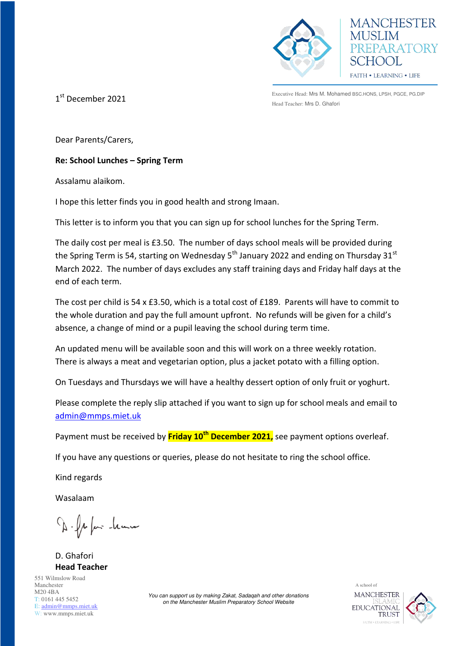

**MANCHESTER** EPARATORY FAITH . LEARNING . LIFE

1 st December 2021

Executive Head: Mrs M. Mohamed BSC.HONS, LPSH, PGCE, PG.DIP Head Teacher: Mrs D. Ghafori

Dear Parents/Carers,

**Re: School Lunches – Spring Term** 

Assalamu alaikom.

I hope this letter finds you in good health and strong Imaan.

This letter is to inform you that you can sign up for school lunches for the Spring Term.

The daily cost per meal is £3.50. The number of days school meals will be provided during the Spring Term is 54, starting on Wednesday  $5<sup>th</sup>$  January 2022 and ending on Thursday 31 $<sup>st</sup>$ </sup> March 2022. The number of days excludes any staff training days and Friday half days at the end of each term.

The cost per child is 54 x £3.50, which is a total cost of £189. Parents will have to commit to the whole duration and pay the full amount upfront. No refunds will be given for a child's absence, a change of mind or a pupil leaving the school during term time.

An updated menu will be available soon and this will work on a three weekly rotation. There is always a meat and vegetarian option, plus a jacket potato with a filling option.

On Tuesdays and Thursdays we will have a healthy dessert option of only fruit or yoghurt.

Please complete the reply slip attached if you want to sign up for school meals and email to [admin@mmps.miet.uk](mailto:admin@mmps.miet.uk)

Payment must be received by **Friday 10th December 2021,** see payment options overleaf.

If you have any questions or queries, please do not hesitate to ring the school office.

Kind regards

Wasalaam

D. fr for home

D. Ghafori **Head Teacher** 

551 Wilmslow Road Manchester M20 4BA T: 0161 445 5452 E: [admin@mmps.miet.uk](mailto:admin@mmps.miet.uk) W: www.mmps.miet.uk

*You can support us by making Zakat, Sadaqah and other donations on the Manchester Muslim Preparatory School Website* 

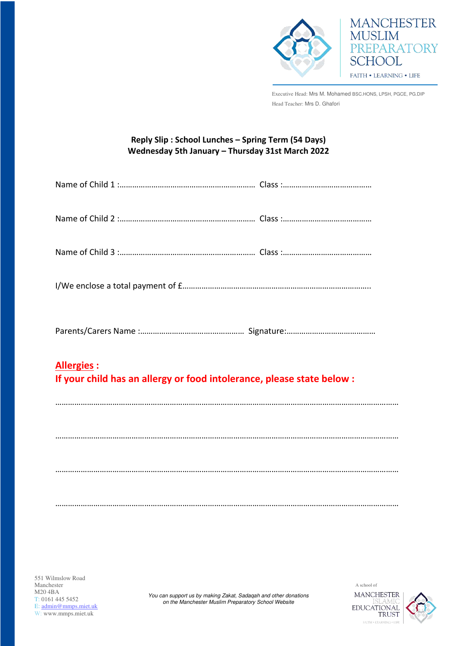



Executive Head: Mrs M. Mohamed BSC.HONS, LPSH, PGCE, PG.DIP Head Teacher: Mrs D. Ghafori

## **Reply Slip : School Lunches – Spring Term (54 Days) Wednesday 5th January – Thursday 31st March 2022**

| <b>Allergies:</b><br>If your child has an allergy or food intolerance, please state below : |  |  |
|---------------------------------------------------------------------------------------------|--|--|
|                                                                                             |  |  |
|                                                                                             |  |  |
|                                                                                             |  |  |

………………………………………………………………………………………………………………………………………………